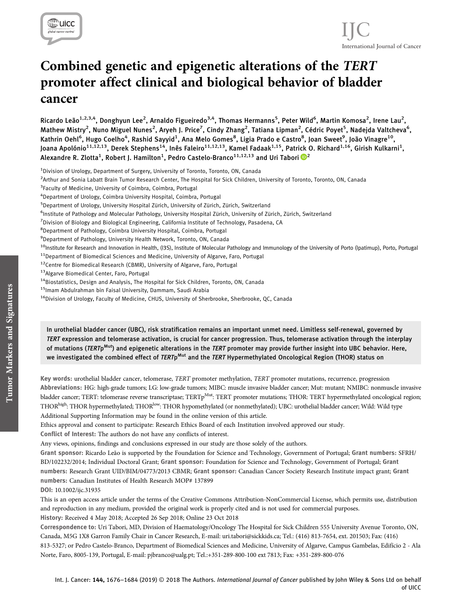

# Combined genetic and epigenetic alterations of the TERT promoter affect clinical and biological behavior of bladder cancer

Ricardo Leão<sup>1,2,3,4</sup>, Donghyun Lee<sup>2</sup>, Arnaldo Figueiredo<sup>3,4</sup>, Thomas Hermanns<sup>5</sup>, Peter Wild<sup>6</sup>, Martin Komosa<sup>2</sup>, Irene Lau<sup>2</sup>, Mathew Mistry<sup>2</sup>, Nuno Miguel Nunes<sup>2</sup>, Aryeh J. Price<sup>7</sup>, Cindy Zhang<sup>2</sup>, Tatiana Lipman<sup>2</sup>, Cédric Poyet<sup>5</sup>, Nadejda Valtcheva<sup>6</sup>, Kathrin Oehl<sup>6</sup>, Hugo Coelho<sup>4</sup>, Rashid Sayyid<sup>1</sup>, Ana Melo Gomes<sup>8</sup>, Ligia Prado e Castro<sup>8</sup>, Joan Sweet<sup>9</sup>, João Vinagre<sup>10</sup>, Joana Apolónio $^{11,12,13}$ , Derek Stephens $^{14}$ , Inês Faleiro $^{11,12,13}$ , Kamel Fadaak $^{1,15}$ , Patrick O. Richard $^{1,16}$ , Girish Kulkarni $^1$ , Alexandre R. Zlotta $^1$ , Robert J. Hamilton $^1$ , Pedro Castelo-Branco $^{11,12,13}$  $^{11,12,13}$  $^{11,12,13}$  and Uri Tabori  $\mathbf{\mathbb{D}}^2$ 

<sup>1</sup>Division of Urology, Department of Surgery, University of Toronto, Toronto, ON, Canada

2 Arthur and Sonia Labatt Brain Tumor Research Center, The Hospital for Sick Children, University of Toronto, Toronto, ON, Canada

- <sup>3</sup>Faculty of Medicine, University of Coimbra, Coimbra, Portugal
- 4 Department of Urology, Coimbra University Hospital, Coimbra, Portugal
- 5 Department of Urology, University Hospital Zürich, University of Zürich, Zürich, Switzerland
- 6 Institute of Pathology and Molecular Pathology, University Hospital Zürich, University of Zürich, Zürich, Switzerland
- <sup>7</sup>Division of Biology and Biological Engineering, California Institute of Technology, Pasadena, CA
- 8 Department of Pathology, Coimbra University Hospital, Coimbra, Portugal
- <sup>9</sup>Department of Pathology, University Health Network, Toronto, ON, Canada
- <sup>10</sup>Institute for Research and Innovation in Health, (I3S), Institute of Molecular Pathology and Immunology of the University of Porto (Ipatimup), Porto, Portugal
- $11$ Department of Biomedical Sciences and Medicine, University of Algarve, Faro, Portugal
- 12Centre for Biomedical Research (CBMR), University of Algarve, Faro, Portugal
- <sup>13</sup>Algarve Biomedical Center, Faro, Portugal
- <sup>14</sup>Biostatistics, Design and Analysis, The Hospital for Sick Children, Toronto, ON, Canada
- <sup>15</sup>Imam Abdulrahman bin Faisal University, Dammam, Saudi Arabia
- <sup>16</sup>Division of Urology, Faculty of Medicine, CHUS, University of Sherbrooke, Sherbrooke, QC, Canada

In urothelial bladder cancer (UBC), risk stratification remains an important unmet need. Limitless self-renewal, governed by TERT expression and telomerase activation, is crucial for cancer progression. Thus, telomerase activation through the interplay of mutations (TERTp<sup>Mut</sup>) and epigenetic alterations in the TERT promoter may provide further insight into UBC behavior. Here, we investigated the combined effect of TERTp<sup>Mut</sup> and the TERT Hypermethylated Oncological Region (THOR) status on

Key words: urothelial bladder cancer, telomerase, TERT promoter methylation, TERT promoter mutations, recurrence, progression Abbreviations: HG: high-grade tumors; LG: low-grade tumors; MIBC: muscle invasive bladder cancer; Mut: mutant; NMIBC: nonmuscle invasive bladder cancer; TERT: telomerase reverse transcriptase; TERTp<sup>Mut</sup>: TERT promoter mutations; THOR: TERT hypermethylated oncological region; THOR<sup>high</sup>: THOR hypermethylated; THOR<sup>low</sup>: THOR hypomethylated (or nonmethylated); UBC: urothelial bladder cancer; Wild: Wild type Additional Supporting Information may be found in the online version of this article.

Ethics approval and consent to participate: Research Ethics Board of each Institution involved approved our study.

Conflict of Interest: The authors do not have any conflicts of interest.

Any views, opinions, findings and conclusions expressed in our study are those solely of the authors.

Grant sponsor: Ricardo Leão is supported by the Foundation for Science and Technology, Government of Portugal; Grant numbers: SFRH/ BD/102232/2014; Individual Doctoral Grant; Grant sponsor: Foundation for Science and Technology, Government of Portugal; Grant numbers: Research Grant UID/BIM/04773/2013 CBMR; Grant sponsor: Canadian Cancer Society Research Institute impact grant; Grant numbers: Canadian Institutes of Health Research MOP# 137899

DOI: 10.1002/ijc.31935

This is an open access article under the terms of the [Creative Commons Attribution-NonCommercial](http://creativecommons.org/licenses/by-nc/4.0/) License, which permits use, distribution and reproduction in any medium, provided the original work is properly cited and is not used for commercial purposes. History: Received 4 May 2018; Accepted 26 Sep 2018; Online 23 Oct 2018

Correspondence to: Uri Tabori, MD, Division of Haematology/Oncology The Hospital for Sick Children 555 University Avenue Toronto, ON, Canada, M5G 1X8 Garron Family Chair in Cancer Research, E-mail: [uri.tabori@sickkids.ca](mailto:uri.tabori@sickkids.ca); Tel.: (416) 813-7654, ext. 201503; Fax: (416) 813-5327; or Pedro Castelo-Branco, Department of Biomedical Sciences and Medicine, University of Algarve, Campus Gambelas, Edifício 2 - Ala Norte, Faro, 8005-139, Portugal, E-mail: [pjbranco@ualg.pt;](mailto:pjbranco@ualg.pt) Tel.:+351-289-800-100 ext 7813; Fax: +351-289-800-076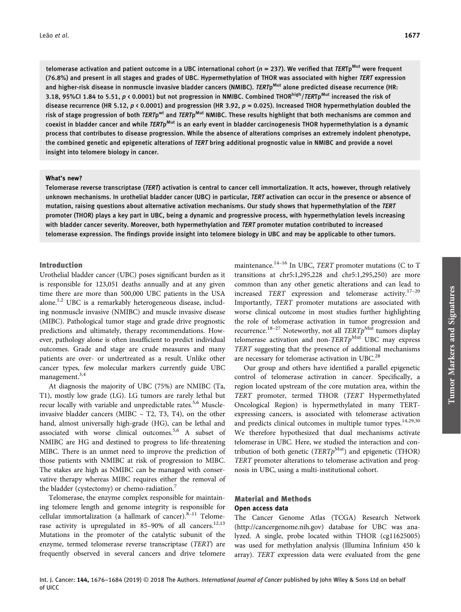telomerase activation and patient outcome in a UBC international cohort ( $n = 237$ ). We verified that TERTp<sup>Mut</sup> were frequent (76.8%) and present in all stages and grades of UBC. Hypermethylation of THOR was associated with higher TERT expression and higher-risk disease in nonmuscle invasive bladder cancers (NMIBC). TERTp<sup>Mut</sup> alone predicted disease recurrence (HR: 3.18, 95%CI 1.84 to 5.51,  $p \lt 0.0001$ ) but not progression in NMIBC. Combined THOR<sup>high</sup>/TERTp<sup>Mut</sup> increased the risk of disease recurrence (HR 5.12,  $p \leftarrow 0.0001$ ) and progression (HR 3.92,  $p = 0.025$ ). Increased THOR hypermethylation doubled the risk of stage progression of both TERTp<sup>wt</sup> and TERTp<sup>Mut</sup> NMIBC. These results highlight that both mechanisms are common and coexist in bladder cancer and while TERTp<sup>Mut</sup> is an early event in bladder carcinogenesis THOR hypermethylation is a dynamic process that contributes to disease progression. While the absence of alterations comprises an extremely indolent phenotype, the combined genetic and epigenetic alterations of TERT bring additional prognostic value in NMIBC and provide a novel insight into telomere biology in cancer.

#### What's new?

Telomerase reverse transcriptase (TERT) activation is central to cancer cell immortalization. It acts, however, through relatively unknown mechanisms. In urothelial bladder cancer (UBC) in particular, TERT activation can occur in the presence or absence of mutation, raising questions about alternative activation mechanisms. Our study shows that hypermethylation of the TERT promoter (THOR) plays a key part in UBC, being a dynamic and progressive process, with hypermethylation levels increasing with bladder cancer severity. Moreover, both hypermethylation and TERT promoter mutation contributed to increased telomerase expression. The findings provide insight into telomere biology in UBC and may be applicable to other tumors.

## Introduction

of UICC

Urothelial bladder cancer (UBC) poses significant burden as it is responsible for 123,051 deaths annually and at any given time there are more than 500,000 UBC patients in the USA alone.<sup>1,2</sup> UBC is a remarkably heterogeneous disease, including nonmuscle invasive (NMIBC) and muscle invasive disease (MIBC). Pathological tumor stage and grade drive prognostic predictions and ultimately, therapy recommendations. However, pathology alone is often insufficient to predict individual outcomes. Grade and stage are crude measures and many patients are over- or undertreated as a result. Unlike other cancer types, few molecular markers currently guide UBC management.<sup>3,4</sup>

At diagnosis the majority of UBC (75%) are NMIBC (Ta, T1), mostly low grade (LG). LG tumors are rarely lethal but recur locally with variable and unpredictable rates.<sup>5,6</sup> Muscleinvasive bladder cancers (MIBC – T2, T3, T4), on the other hand, almost universally high-grade (HG), can be lethal and associated with worse clinical outcomes.<sup>5,6</sup> A subset of NMIBC are HG and destined to progress to life-threatening MIBC. There is an unmet need to improve the prediction of those patients with NMIBC at risk of progression to MIBC. The stakes are high as NMIBC can be managed with conservative therapy whereas MIBC requires either the removal of the bladder (cystectomy) or chemo-radiation.<sup>7</sup>

Telomerase, the enzyme complex responsible for maintaining telomere length and genome integrity is responsible for cellular immortalization (a hallmark of cancer). $8-11$  Telomerase activity is upregulated in 85-90% of all cancers.<sup>12,13</sup> Mutations in the promoter of the catalytic subunit of the enzyme, termed telomerase reverse transcriptase (TERT) are frequently observed in several cancers and drive telomere

maintenance.<sup>14-16</sup> In UBC, TERT promoter mutations (C to T transitions at chr5:1,295,228 and chr5:1,295,250) are more common than any other genetic alterations and can lead to increased TERT expression and telomerase activity.17–<sup>20</sup> Importantly, TERT promoter mutations are associated with worse clinical outcome in most studies further highlighting the role of telomerase activation in tumor progression and recurrence.<sup>18-27</sup> Noteworthy, not all  $TERTp^{\text{Mut}}$  tumors display telomerase activation and non- $TERTp^{\text{Mut}}$  UBC may express TERT suggesting that the presence of additional mechanisms are necessary for telomerase activation in UBC.<sup>28</sup>

Our group and others have identified a parallel epigenetic control of telomerase activation in cancer. Specifically, a region located upstream of the core mutation area, within the TERT promoter, termed THOR (TERT Hypermethylated Oncological Region) is hypermethylated in many TERTexpressing cancers, is associated with telomerase activation and predicts clinical outcomes in multiple tumor types.<sup>14,29,30</sup> We therefore hypothesized that dual mechanisms activate telomerase in UBC. Here, we studied the interaction and contribution of both genetic ( $TERTp^{Mut}$ ) and epigenetic (THOR) TERT promoter alterations to telomerase activation and prognosis in UBC, using a multi-institutional cohort.

## Material and Methods Open access data

The Cancer Genome Atlas (TCGA) Research Network [\(http://cancergenome.nih.gov](http://cancergenome.nih.gov)) database for UBC was analyzed. A single, probe located within THOR (cg11625005) was used for methylation analysis (Illumina Infinium 450 k array). TERT expression data were evaluated from the gene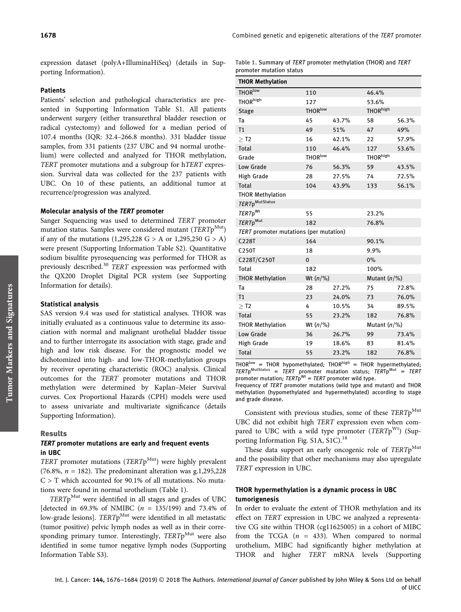Table 1. Summary of TERT promoter methylation (THOR) and TERT

promoter mutation status

expression dataset (polyA+IlluminaHiSeq) (details in Supporting Information).

## Patients

Patients' selection and pathological characteristics are presented in Supporting Information Table S1. All patients underwent surgery (either transurethral bladder resection or radical cystectomy) and followed for a median period of 107.4 months (IQR: 32.4–266.8 months). 331 bladder tissue samples, from 331 patients (237 UBC and 94 normal urothelium) were collected and analyzed for THOR methylation, TERT promoter mutations and a subgroup for hTERT expression. Survival data was collected for the 237 patients with UBC. On 10 of these patients, an additional tumor at recurrence/progression was analyzed.

#### Molecular analysis of the TERT promoter

Sanger Sequencing was used to determined TERT promoter mutation status. Samples were considered mutant ( $TERTp<sup>Mut</sup>$ ) if any of the mutations  $(1,295,228 \text{ G} > A \text{ or } 1,295,250 \text{ G} > A)$ were present (Supporting Information Table S2). Quantitative sodium bisulfite pyrosequencing was performed for THOR as previously described.<sup>30</sup> TERT expression was performed with the QX200 Droplet Digital PCR system (see Supporting Information for details).

### Statistical analysis

SAS version 9.4 was used for statistical analyses. THOR was initially evaluated as a continuous value to determine its association with normal and malignant urothelial bladder tissue and to further interrogate its association with stage, grade and high and low risk disease. For the prognostic model we dichotomized into high- and low-THOR-methylation groups by receiver operating characteristic (ROC) analysis. Clinical outcomes for the TERT promoter mutations and THOR methylation were determined by Kaplan–Meier Survival curves. Cox Proportional Hazards (CPH) models were used to assess univariate and multivariate significance (details Supporting Information).

#### Results

## TERT promoter mutations are early and frequent events in UBC

TERT promoter mutations (TERTp<sup>Mut</sup>) were highly prevalent (76.8%,  $n = 182$ ). The predominant alteration was g.1,295,228  $C > T$  which accounted for 90.1% of all mutations. No mutations were found in normal urothelium (Table 1).

TERTpMut were identified in all stages and grades of UBC [detected in 69.3% of NMIBC  $(n = 135/199)$  and 73.4% of low-grade lesions]. TERTp<sup>Mut</sup> were identified in all metastatic (tumor positive) pelvic lymph nodes as well as in their corresponding primary tumor. Interestingly, TERTp<sup>Mut</sup> were also identified in some tumor negative lymph nodes (Supporting Information Table S3).

| promoter matation status<br><b>THOR Methylation</b> |                     |       |                      |       |  |  |  |  |  |  |
|-----------------------------------------------------|---------------------|-------|----------------------|-------|--|--|--|--|--|--|
| <b>THOR</b> low                                     | 110                 |       | 46.4%                |       |  |  |  |  |  |  |
| THOR <sup>high</sup>                                | 127                 |       | 53.6%                |       |  |  |  |  |  |  |
| <b>Stage</b>                                        | <b>THOR</b> low     |       | THOR <sup>high</sup> |       |  |  |  |  |  |  |
| Ta                                                  | 45                  | 43.7% | 58                   | 56.3% |  |  |  |  |  |  |
| T <sub>1</sub>                                      | 49                  | 51%   | 47                   | 49%   |  |  |  |  |  |  |
| $>$ T2                                              | 16                  | 42.1% | 22                   | 57.9% |  |  |  |  |  |  |
| <b>Total</b>                                        | 110                 | 46.4% | 127                  | 53.6% |  |  |  |  |  |  |
| Grade                                               | THOR <sup>low</sup> |       | THOR <sup>high</sup> |       |  |  |  |  |  |  |
| Low Grade                                           | 76                  | 56.3% | 59                   | 43.5% |  |  |  |  |  |  |
| High Grade                                          | 28                  | 27.5% | 74                   | 72.5% |  |  |  |  |  |  |
| <b>Total</b>                                        | 104                 | 43.9% | 133                  | 56.1% |  |  |  |  |  |  |
| <b>THOR Methylation</b>                             |                     |       |                      |       |  |  |  |  |  |  |
| TERTp <sup>MutStatus</sup>                          |                     |       |                      |       |  |  |  |  |  |  |
| TERTp <sup>Wt</sup>                                 | 55                  |       | 23.2%                |       |  |  |  |  |  |  |
| TERTp <sup>Mut</sup>                                | 182                 |       | 76.8%                |       |  |  |  |  |  |  |
| TERT promoter mutations (per mutation)              |                     |       |                      |       |  |  |  |  |  |  |
| C228T                                               | 164                 |       | 90.1%                |       |  |  |  |  |  |  |
| C250T                                               | 18                  |       | 9.9%                 |       |  |  |  |  |  |  |
| C228T/C250T                                         | $\mathbf{0}$        |       | 0%                   |       |  |  |  |  |  |  |
| Total                                               | 182                 |       | 100%                 |       |  |  |  |  |  |  |
| <b>THOR Methylation</b>                             | Wt $(n/\%)$         |       | Mutant $(n/\%)$      |       |  |  |  |  |  |  |
| Ta                                                  | 28                  | 27.2% | 75                   | 72.8% |  |  |  |  |  |  |
| T <sub>1</sub>                                      | 23                  | 24.0% | 73                   | 76.0% |  |  |  |  |  |  |
| $>$ T2                                              | 4                   | 10.5% | 34                   | 89.5% |  |  |  |  |  |  |
| <b>Total</b>                                        | 55                  | 23.2% | 182                  | 76.8% |  |  |  |  |  |  |
| <b>THOR Methylation</b>                             | Wt $(n/\%)$         |       | Mutant $(n/\%)$      |       |  |  |  |  |  |  |
| Low Grade                                           | 36                  | 26.7% | 99                   | 73.4% |  |  |  |  |  |  |
| High Grade                                          | 19                  | 18.6% | 83                   | 81.4% |  |  |  |  |  |  |
| Total                                               | 55                  | 23.2% | 182                  | 76.8% |  |  |  |  |  |  |

THOR<sup>low</sup> = THOR hypomethylated; THOR<sup>high</sup> = THOR hypermethylated;  $TERTp$ <sup>MutStatus</sup> =  $TERT$  promoter mutation status;  $TERD$ <sup>Mut</sup> =  $TERD$ promoter mutation;  $TERTp<sup>Wt</sup> = TERT$  promoter wild type.

Frequency of TERT promoter mutations (wild type and mutant) and THOR methylation (hypomethylated and hypermethylated) according to stage and grade disease.

Consistent with previous studies, some of these  $TERTp<sup>Mut</sup>$ UBC did not exhibit high TERT expression even when compared to UBC with a wild type promoter ( $TERTp^{Wt}$ ) (Supporting Information Fig. S1A, S1C).<sup>18</sup>

These data support an early oncogenic role of TERTp<sup>Mut</sup> and the possibility that other mechanisms may also upregulate TERT expression in UBC.

## THOR hypermethylation is a dynamic process in UBC tumorigenesis

In order to evaluate the extent of THOR methylation and its effect on TERT expression in UBC we analyzed a representative CG site within THOR (cg11625005) in a cohort of MIBC from the TCGA  $(n = 433)$ . When compared to normal urothelium, MIBC had significantly higher methylation at THOR and higher TERT mRNA levels (Supporting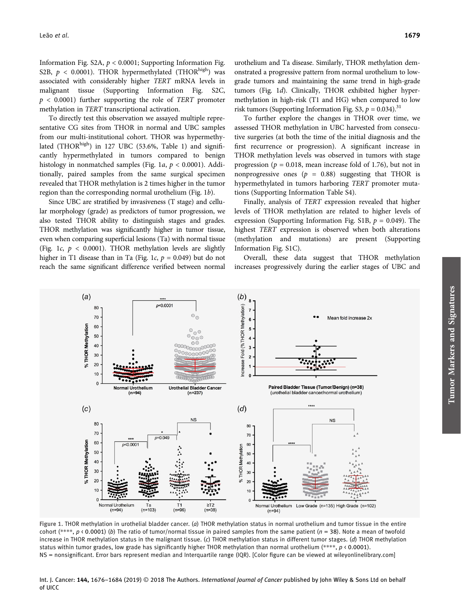Information Fig. S2A,  $p < 0.0001$ ; Supporting Information Fig. S2B,  $p < 0.0001$ ). THOR hypermethylated (THOR<sup>high</sup>) was associated with considerably higher TERT mRNA levels in malignant tissue (Supporting Information Fig. S2C,  $p \leq 0.0001$ ) further supporting the role of TERT promoter methylation in TERT transcriptional activation.

To directly test this observation we assayed multiple representative CG sites from THOR in normal and UBC samples from our multi-institutional cohort. THOR was hypermethylated (THOR<sup>high</sup>) in 127 UBC (53.6%, Table 1) and significantly hypermethylated in tumors compared to benign histology in nonmatched samples (Fig. 1a,  $p < 0.0001$ ). Additionally, paired samples from the same surgical specimen revealed that THOR methylation is 2 times higher in the tumor region than the corresponding normal urothelium (Fig. 1b).

Since UBC are stratified by invasiveness (T stage) and cellular morphology (grade) as predictors of tumor progression, we also tested THOR ability to distinguish stages and grades. THOR methylation was significantly higher in tumor tissue, even when comparing superficial lesions (Ta) with normal tissue (Fig. 1c,  $p < 0.0001$ ). THOR methylation levels are slightly higher in T1 disease than in Ta (Fig. 1c,  $p = 0.049$ ) but do not reach the same significant difference verified between normal urothelium and Ta disease. Similarly, THOR methylation demonstrated a progressive pattern from normal urothelium to lowgrade tumors and maintaining the same trend in high-grade tumors (Fig. 1d). Clinically, THOR exhibited higher hypermethylation in high-risk (T1 and HG) when compared to low risk tumors (Supporting Information Fig. S3,  $p = 0.034$ ).<sup>31</sup>

To further explore the changes in THOR over time, we assessed THOR methylation in UBC harvested from consecutive surgeries (at both the time of the initial diagnosis and the first recurrence or progression). A significant increase in THOR methylation levels was observed in tumors with stage progression ( $p = 0.018$ , mean increase fold of 1.76), but not in nonprogressive ones ( $p = 0.88$ ) suggesting that THOR is hypermethylated in tumors harboring TERT promoter mutations (Supporting Information Table S4).

Finally, analysis of TERT expression revealed that higher levels of THOR methylation are related to higher levels of expression (Supporting Information Fig. S1B,  $p = 0.049$ ). The highest TERT expression is observed when both alterations (methylation and mutations) are present (Supporting Information Fig. S1C).

Overall, these data suggest that THOR methylation increases progressively during the earlier stages of UBC and



Figure 1. THOR methylation in urothelial bladder cancer. (a) THOR methylation status in normal urothelium and tumor tissue in the entire cohort (\*\*\*\*,  $p \triangleleft 0.0001$ ) (b) The ratio of tumor/normal tissue in paired samples from the same patient ( $n = 38$ ). Note a mean of twofold increase in THOR methylation status in the malignant tissue. (c) THOR methylation status in different tumor stages. (d) THOR methylation status within tumor grades, low grade has significantly higher THOR methylation than normal urothelium (\*\*\*\*,  $p \leftarrow 0.0001$ ). NS = nonsignificant. Error bars represent median and Interquartile range (IQR). [Color figure can be viewed at [wileyonlinelibrary.com\]](http://wileyonlinelibrary.com)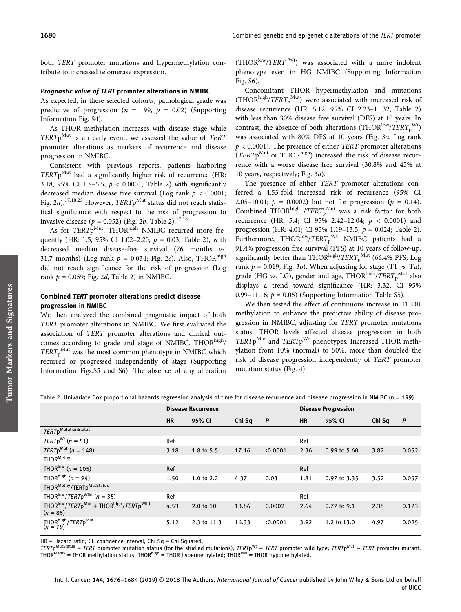both TERT promoter mutations and hypermethylation contribute to increased telomerase expression.

#### Prognostic value of TERT promoter alterations in NMIBC

As expected, in these selected cohorts, pathological grade was predictive of progression ( $n = 199$ ,  $p = 0.02$ ) (Supporting Information Fig. S4).

As THOR methylation increases with disease stage while  $TERTp$ <sup>Mut</sup> is an early event, we assessed the value of TERT promoter alterations as markers of recurrence and disease progression in NMIBC.

Consistent with previous reports, patients harboring  $TERTp$ <sup>Mut</sup> had a significantly higher risk of recurrence (HR: 3.18, 95% CI 1.8-5.5;  $p < 0.0001$ ; Table 2) with significantly decreased median disease free survival (Log rank  $p < 0.0001$ ; Fig. 2a).<sup>17,18,25</sup> However, TERTp<sup>Mut</sup> status did not reach statistical significance with respect to the risk of progression to invasive disease ( $p = 0.052$ ) (Fig. 2b, Table 2).<sup>17,18</sup>

As for TERTp<sup>Mut</sup>, THOR<sup>high</sup> NMIBC recurred more frequently (HR: 1.5, 95% CI 1.02-2.20;  $p = 0.03$ ; Table 2), with decreased median disease-free survival (76 months vs. 31.7 months) (Log rank  $p = 0.034$ ; Fig. 2c). Also, THOR<sup>high</sup> did not reach significance for the risk of progression (Log rank  $p = 0.059$ ; Fig. 2d, Table 2) in NMIBC.

## Combined TERT promoter alterations predict disease progression in NMIBC

We then analyzed the combined prognostic impact of both TERT promoter alterations in NMIBC. We first evaluated the association of TERT promoter alterations and clinical outcomes according to grade and stage of NMIBC. THOR $^{\text{high}}$ /  $TERT<sub>p</sub><sup>Mut</sup>$  was the most common phenotype in NMIBC which recurred or progressed independently of stage (Supporting Information Figs.S5 and S6). The absence of any alteration

 $(THOR^{low}/TERT<sub>p</sub><sup>Wt</sup>)$  was associated with a more indolent phenotype even in HG NMIBC (Supporting Information Fig. S6).

Concomitant THOR hypermethylation and mutations (THOR $^{high}/TERT_{p}^{Mut}$ ) were associated with increased risk of disease recurrence (HR: 5.12; 95% CI 2.23–11.32, Table 2) with less than 30% disease free survival (DFS) at 10 years. In contrast, the absence of both alterations (THOR<sup>low</sup>/TERT<sub>p</sub><sup>Wt</sup>) was associated with 80% DFS at 10 years (Fig. 3a, Log rank  $p < 0.0001$ ). The presence of either *TERT* promoter alterations  $(TERTp^{Mut}$  or THOR $^{high}$ ) increased the risk of disease recurrence with a worse disease free survival (30.8% and 45% at 10 years, respectively; Fig. 3a).

The presence of either TERT promoter alterations conferred a 4.53-fold increased risk of recurrence (95% CI 2.05–10.01;  $p = 0.0002$ ) but not for progression ( $p = 0.14$ ). Combined THOR<sup>high</sup> /TERT<sub>p</sub><sup>Mut</sup> was a risk factor for both recurrence (HR: 5.4; CI 95% 2.42–12.04; p < 0.0001) and progression (HR: 4.01; CI 95% 1.19–13.5; p = 0.024; Table 2). Furthermore, THOR $^{low}/TERT_p^{Wt}$  NMIBC patients had a 91.4% progression free survival (PFS) at 10 years of follow-up, significantly better than THOR $^{\text{high}}$ /TERT $^{\text{Mut}}_{\text{p}}$  (66.4% PFS; Log rank  $p = 0.019$ ; Fig. 3b). When adjusting for stage (T1 *vs.* Ta), grade (HG vs. LG), gender and age, THOR<sup>high</sup>/TERT<sub>p</sub><sup>Mut</sup> also displays a trend toward significance (HR: 3.32, CI 95% 0.99–11.16;  $p = 0.05$ ) (Supporting Information Table S5).

We then tested the effect of continuous increase in THOR methylation to enhance the predictive ability of disease progression in NMIBC, adjusting for TERT promoter mutations status. THOR levels affected disease progression in both  $TERTp^{\text{Mut}}$  and  $TERTp^{\text{Wt}}$  phenotypes. Increased THOR methylation from 10% (normal) to 50%, more than doubled the risk of disease progression independently of TERT promoter mutation status (Fig. 4).

Table 2. Univariate Cox proportional hazards regression analysis of time for disease recurrence and disease progression in NMIBC (n = 199)

|                                                                                                       | <b>Disease Recurrence</b> |             |        |        | <b>Disease Progression</b> |              |        |              |
|-------------------------------------------------------------------------------------------------------|---------------------------|-------------|--------|--------|----------------------------|--------------|--------|--------------|
|                                                                                                       | <b>HR</b>                 | 95% CI      | Chi Sq | P      | <b>HR</b>                  | 95% CI       | Chi Sq | $\mathbf{P}$ |
| <b>TERTpMutationStatus</b>                                                                            |                           |             |        |        |                            |              |        |              |
| $TERTp^{Wt}$ (n = 51)                                                                                 | Ref                       |             |        |        | Ref                        |              |        |              |
| $TERTp^{\text{Mut}}$ (n = 148)                                                                        | 3.18                      | 1.8 to 5.5  | 17.16  | 0.0001 | 2.36                       | 0.99 to 5.60 | 3.82   | 0.052        |
| THOR <sup>Methy</sup>                                                                                 |                           |             |        |        |                            |              |        |              |
| THOR <sup>low</sup> ( $n = 105$ )                                                                     | Ref                       |             |        |        | Ref                        |              |        |              |
| THOR <sup>high</sup> ( $n = 94$ )                                                                     | 1.50                      | 1.0 to 2.2  | 4.37   | 0.03   | 1.81                       | 0.97 to 3.35 | 3.52   | 0.057        |
| THOR <sup>Methy</sup> /TERTp <sup>MutStatus</sup>                                                     |                           |             |        |        |                            |              |        |              |
| THOR <sup>low</sup> / <i>TERT</i> p <sup>Wild</sup> ( <i>n</i> = 35)                                  | Ref                       |             |        |        | Ref                        |              |        |              |
| THOR <sup>Iow</sup> /TERTp <sup>Mut</sup> + THOR <sup>high</sup> /TERTp <sup>Wild</sup><br>$(n = 85)$ | 4.53                      | 2.0 to 10   | 13.86  | 0.0002 | 2.64                       | 0.77 to 9.1  | 2.38   | 0.123        |
| THOR <sup>high</sup> / <i>TERT</i> p <sup>Mut</sup><br>( <i>n</i> = 79)                               | 5.12                      | 2.3 to 11.3 | 16.33  | 0.0001 | 3.92                       | 1.2 to 13.0  | 4.97   | 0.025        |

HR = Hazard ratio; CI: confidence interval; Chi Sq = Chi Squared.

TERTp<sup>MutStatus</sup> = TERT promoter mutation status (for the studied mutations); TERTp<sup>Wt</sup> = TERT promoter wild type; TERTp<sup>Mut</sup> = TERT promoter mutant; THOR<sup>Methy</sup> = THOR methylation status; THOR<sup>high</sup> = THOR hypermethylated; THOR<sup>low</sup> = THOR hypomethylated.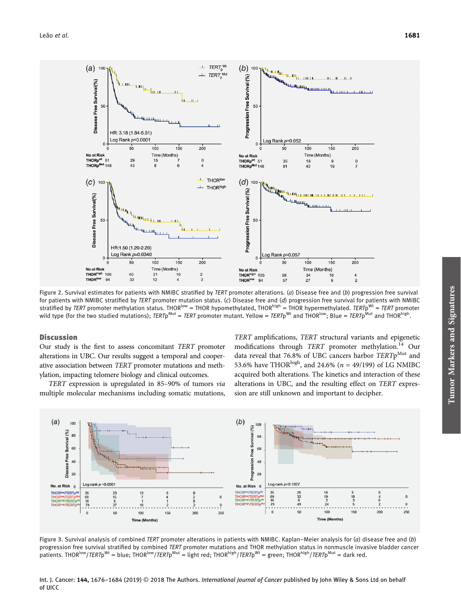

Figure 2. Survival estimates for patients with NMIBC stratified by TERT promoter alterations. (a) Disease free and (b) progression free survival for patients with NMIBC stratified by TERT promoter mutation status. (c) Disease free and  $(d)$  progression free survival for patients with NMIBC stratified by TERT promoter methylation status. THOR<sup>low</sup> = THOR hypomethylated, THOR<sup>high</sup> = THOR hypermethylated. TERTp<sup>Wt</sup> = TERT promoter wild type (for the two studied mutations); TERTp<sup>Mut</sup> = TERT promoter mutant. Yellow = TERTp<sup>Wt</sup> and THOR<sup>how</sup>; Blue = TERTp<sup>Mut</sup> and THOR<sup>high</sup>.

## **Discussion**

Our study is the first to assess concomitant TERT promoter alterations in UBC. Our results suggest a temporal and cooperative association between TERT promoter mutations and methylation, impacting telomere biology and clinical outcomes.

TERT expression is upregulated in 85–90% of tumors via multiple molecular mechanisms including somatic mutations,

TERT amplifications, TERT structural variants and epigenetic modifications through TERT promoter methylation.<sup>14</sup> Our data reveal that 76.8% of UBC cancers harbor  $TERT<sub>p</sub><sup>Mut</sup>$  and 53.6% have THOR<sup>high</sup>, and 24.6% ( $n = 49/199$ ) of LG NMIBC acquired both alterations. The kinetics and interaction of these alterations in UBC, and the resulting effect on TERT expression are still unknown and important to decipher.



Figure 3. Survival analysis of combined TERT promoter alterations in patients with NMIBC. Kaplan–Meier analysis for (a) disease free and (b) progression free survival stratified by combined TERT promoter mutations and THOR methylation status in nonmuscle invasive bladder cancer patients. THOR<sup>low</sup>/TERTp<sup>Wt</sup> = blue; THOR<sup>low</sup>/TERTp<sup>Mut</sup> = light red; THOR<sup>high</sup>/TERTp<sup>Wt</sup> = green; THOR<sup>high</sup>/TERTp<sup>Mut</sup> = dark red.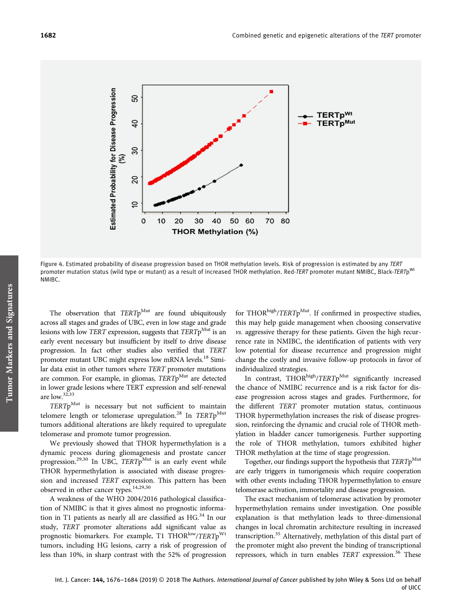

Figure 4. Estimated probability of disease progression based on THOR methylation levels. Risk of progression is estimated by any TERT promoter mutation status (wild type or mutant) as a result of increased THOR methylation. Red-TERT promoter mutant NMIBC, Black-TERTp<sup>Wt</sup> NMIBC.

The observation that  $TERTp^{Mut}$  are found ubiquitously across all stages and grades of UBC, even in low stage and grade lesions with low TERT expression, suggests that  $TERTp^{\text{Mut}}$  is an early event necessary but insufficient by itself to drive disease progression. In fact other studies also verified that TERT promoter mutant UBC might express low mRNA levels.<sup>18</sup> Similar data exist in other tumors where TERT promoter mutations are common. For example, in gliomas,  $TERTp<sup>Mut</sup>$  are detected in lower grade lesions where TERT expression and self-renewal are low.32,33

 $TERTp<sup>Mut</sup>$  is necessary but not sufficient to maintain telomere length or telomerase upregulation.<sup>28</sup> In TERTp<sup>Mut</sup> tumors additional alterations are likely required to upregulate telomerase and promote tumor progression.

We previously showed that THOR hypermethylation is a dynamic process during gliomagenesis and prostate cancer progression.<sup>29,30</sup> In UBC,  $TERTp$ <sup>Mut</sup> is an early event while THOR hypermethylation is associated with disease progression and increased TERT expression. This pattern has been observed in other cancer types.14,29,30

A weakness of the WHO 2004/2016 pathological classification of NMIBC is that it gives almost no prognostic information in T1 patients as nearly all are classified as  $HG^{34}$  In our study, TERT promoter alterations add significant value as prognostic biomarkers. For example, T1 THOR<sup>low</sup>/TERTp<sup>Wt</sup> tumors, including HG lesions, carry a risk of progression of less than 10%, in sharp contrast with the 52% of progression

for THOR $^{\text{high}}$ /TERTp<sup>Mut</sup>. If confirmed in prospective studies, this may help guide management when choosing conservative vs. aggressive therapy for these patients. Given the high recurrence rate in NMIBC, the identification of patients with very low potential for disease recurrence and progression might change the costly and invasive follow-up protocols in favor of individualized strategies.

In contrast,  $THOR<sup>high</sup>/TERTp<sup>Mut</sup>$  significantly increased the chance of NMIBC recurrence and is a risk factor for disease progression across stages and grades. Furthermore, for the different TERT promoter mutation status, continuous THOR hypermethylation increases the risk of disease progression, reinforcing the dynamic and crucial role of THOR methylation in bladder cancer tumorigenesis. Further supporting the role of THOR methylation, tumors exhibited higher THOR methylation at the time of stage progression.

Together, our findings support the hypothesis that  $TERTp^{Mul}$ are early triggers in tumorigenesis which require cooperation with other events including THOR hypermethylation to ensure telomerase activation, immortality and disease progression.

The exact mechanism of telomerase activation by promoter hypermethylation remains under investigation. One possible explanation is that methylation leads to three-dimensional changes in local chromatin architecture resulting in increased transcription.<sup>35</sup> Alternatively, methylation of this distal part of the promoter might also prevent the binding of transcriptional repressors, which in turn enables TERT expression.<sup>36</sup> These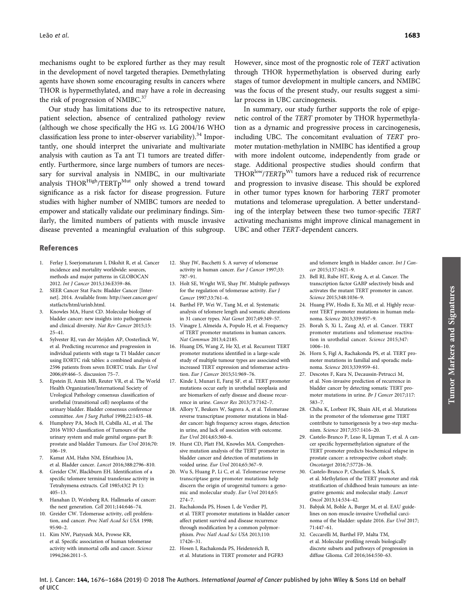mechanisms ought to be explored further as they may result in the development of novel targeted therapies. Demethylating agents have shown some encouraging results in cancers where THOR is hypermethylated, and may have a role in decreasing the risk of progression of NMIBC.<sup>37</sup>

Our study has limitations due to its retrospective nature, patient selection, absence of centralized pathology review (although we chose specifically the HG vs. LG 2004/16 WHO classification less prone to inter-observer variability).<sup>34</sup> Importantly, one should interpret the univariate and multivariate analysis with caution as Ta ant T1 tumors are treated differently. Furthermore, since large numbers of tumors are necessary for survival analysis in NMIBC, in our multivariate analysis THOR<sup>High</sup>/TERTp<sup>Mut</sup> only showed a trend toward significance as a risk factor for disease progression. Future studies with higher number of NMIBC tumors are needed to empower and statically validate our preliminary findings. Similarly, the limited numbers of patients with muscle invasive disease prevented a meaningful evaluation of this subgroup.

However, since most of the prognostic role of TERT activation through THOR hypermethylation is observed during early stages of tumor development in multiple cancers, and NMIBC was the focus of the present study, our results suggest a similar process in UBC carcinogenesis.

In summary, our study further supports the role of epigenetic control of the TERT promoter by THOR hypermethylation as a dynamic and progressive process in carcinogenesis, including UBC. The concomitant evaluation of TERT promoter mutation-methylation in NMIBC has identified a group with more indolent outcome, independently from grade or stage. Additional prospective studies should confirm that THOR<sup>low</sup>/TERTp<sup>Wt</sup> tumors have a reduced risk of recurrence and progression to invasive disease. This should be explored in other tumor types known for harboring TERT promoter mutations and telomerase upregulation. A better understanding of the interplay between these two tumor-specific TERT activating mechanisms might improve clinical management in UBC and other TERT-dependent cancers.

#### References

- 1. Ferlay J, Soerjomataram I, Dikshit R, et al. Cancer incidence and mortality worldwide: sources, methods and major patterns in GLOBOCAN 2012. Int J Cancer 2015;136:E359–86.
- 2. SEER Cancer Stat Facts: Bladder Cancer [Internet]. 2014. Available from: [http://seer.cancer.gov/](http://seer.cancer.gov/statfacts/html/urinb.html) [statfacts/html/urinb.html.](http://seer.cancer.gov/statfacts/html/urinb.html)
- 3. Knowles MA, Hurst CD. Molecular biology of bladder cancer: new insights into pathogenesis and clinical diversity. Nat Rev Cancer 2015;15: 25–41.
- 4. Sylvester RJ, van der Meijden AP, Oosterlinck W, et al. Predicting recurrence and progression in individual patients with stage ta T1 bladder cancer using EORTC risk tables: a combined analysis of 2596 patients from seven EORTC trials. Eur Urol 2006;49:466–5. discussion 75–7.
- 5. Epstein JI, Amin MB, Reuter VR, et al. The World Health Organization/International Society of Urological Pathology consensus classification of urothelial (transitional cell) neoplasms of the urinary bladder. Bladder consensus conference committee. Am J Surg Pathol 1998;22:1435–48.
- 6. Humphrey PA, Moch H, Cubilla AL, et al. The 2016 WHO classification of Tumours of the urinary system and male genital organs-part B: prostate and bladder Tumours. Eur Urol 2016;70: 106–19.
- 7. Kamat AM, Hahn NM, Efstathiou JA, et al. Bladder cancer. Lancet 2016;388:2796–810.
- 8. Greider CW, Blackburn EH. Identification of a specific telomere terminal transferase activity in Tetrahymena extracts. Cell 1985;43(2 Pt 1): 405–13.
- 9. Hanahan D, Weinberg RA. Hallmarks of cancer: the next generation. Cell 2011;144:646–74.
- 10. Greider CW. Telomerase activity, cell proliferation, and cancer. Proc Natl Acad Sci USA 1998; 95:90–2.
- 11. Kim NW, Piatyszek MA, Prowse KR, et al. Specific association of human telomerase activity with immortal cells and cancer. Science 1994;266:2011–5.
- 12. Shay JW, Bacchetti S. A survey of telomerase activity in human cancer. Eur J Cancer 1997;33: 787–91.
- 13. Holt SE, Wright WE, Shay JW. Multiple pathways for the regulation of telomerase activity. Eur J Cancer 1997;33:761–6.
- 14. Barthel FP, Wei W, Tang M, et al. Systematic analysis of telomere length and somatic alterations in 31 cancer types. Nat Genet 2017;49:349–57.
- 15. Vinagre J, Almeida A, Populo H, et al. Frequency of TERT promoter mutations in human cancers. Nat Commun 2013;4:2185.
- 16. Huang DS, Wang Z, He XJ, et al. Recurrent TERT promoter mutations identified in a large-scale study of multiple tumour types are associated with increased TERT expression and telomerase activation. Eur J Cancer 2015;51:969–76.
- 17. Kinde I, Munari E, Faraj SF, et al. TERT promoter mutations occur early in urothelial neoplasia and are biomarkers of early disease and disease recurrence in urine. Cancer Res 2013;73:7162–7.
- 18. Allory Y, Beukers W, Sagrera A, et al. Telomerase reverse transcriptase promoter mutations in bladder cancer: high frequency across stages, detection in urine, and lack of association with outcome. Eur Urol 2014;65:360–6.
- 19. Hurst CD, Platt FM, Knowles MA. Comprehensive mutation analysis of the TERT promoter in bladder cancer and detection of mutations in voided urine. Eur Urol 2014;65:367–9.
- 20. Wu S, Huang P, Li C, et al. Telomerase reverse transcriptase gene promoter mutations help discern the origin of urogenital tumors: a genomic and molecular study. Eur Urol 2014;65: 274–7.
- 21. Rachakonda PS, Hosen I, de Verdier PJ, et al. TERT promoter mutations in bladder cancer affect patient survival and disease recurrence through modification by a common polymorphism. Proc Natl Acad Sci USA 2013;110: 17426–31.
- 22. Hosen I, Rachakonda PS, Heidenreich B, et al. Mutations in TERT promoter and FGFR3

and telomere length in bladder cancer. Int J Cancer 2015;137:1621–9.

- 23. Bell RJ, Rube HT, Kreig A, et al. Cancer. The transcription factor GABP selectively binds and activates the mutant TERT promoter in cancer. Science 2015;348:1036–9.
- 24. Huang FW, Hodis E, Xu MJ, et al. Highly recurrent TERT promoter mutations in human melanoma. Science 2013;339:957–9.
- 25. Borah S, Xi L, Zaug AJ, et al. Cancer. TERT promoter mutations and telomerase reactivation in urothelial cancer. Science 2015;347: 1006–10.
- 26. Horn S, Figl A, Rachakonda PS, et al. TERT promoter mutations in familial and sporadic melanoma. Science 2013;339:959–61.
- 27. Descotes F, Kara N, Decaussin-Petrucci M, et al. Non-invasive prediction of recurrence in bladder cancer by detecting somatic TERT promoter mutations in urine. Br J Cancer 2017;117: 583–7.
- 28. Chiba K, Lorbeer FK, Shain AH, et al. Mutations in the promoter of the telomerase gene TERT contribute to tumorigenesis by a two-step mechanism. Science 2017;357:1416–20.
- 29. Castelo-Branco P, Leao R, Lipman T, et al. A cancer specific hypermethylation signature of the TERT promoter predicts biochemical relapse in prostate cancer: a retrospective cohort study. Oncotarget 2016;7:57726–36.
- 30. Castelo-Branco P, Choufani S, Mack S, et al. Methylation of the TERT promoter and risk stratification of childhood brain tumours: an integrative genomic and molecular study. Lancet Oncol 2013;14:534–42.
- 31. Babjuk M, Bohle A, Burger M, et al. EAU guidelines on non-muscle-invasive Urothelial carcinoma of the bladder: update 2016. Eur Urol 2017; 71:447–61.
- 32. Ceccarelli M, Barthel FP, Malta TM, et al. Molecular profiling reveals biologically discrete subsets and pathways of progression in diffuse Glioma. Cell 2016;164:550–63.

Int. J. Cancer: 144, 1676-1684 (2019) © 2018 The Authors. International Journal of Cancer published by John Wiley & Sons Ltd on behalf of UICC